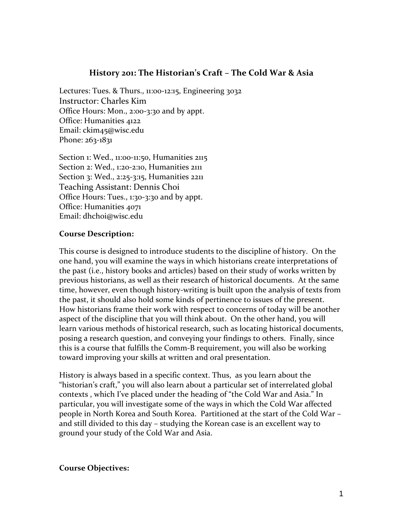# **History 201: The Historian's Craft – The Cold War & Asia**

Lectures: Tues. & Thurs., 11:00‐12:15, Engineering 3032 Instructor: Charles Kim Office Hours: Mon., 2:00‐3:30 and by appt. Office: Humanities 4122 Email: ckim45@wisc.edu Phone: 263-1831

Section 1: Wed., 11:00-11:50, Humanities 2115 Section 2: Wed., 1:20‐2:10, Humanities 2111 Section 3: Wed., 2:25‐3:15, Humanities 2211 Teaching Assistant: Dennis Choi Office Hours: Tues., 1:30‐3:30 and by appt. Office: Humanities 4071 Email: dhchoi@wisc.edu

## **Course Description:**

This course is designed to introduce students to the discipline of history. On the one hand, you will examine the ways in which historians create interpretations of the past (i.e., history books and articles) based on their study of works written by previous historians, as well as their research of historical documents. At the same time, however, even though history‐writing is built upon the analysis of texts from the past, it should also hold some kinds of pertinence to issues of the present. How historians frame their work with respect to concerns of today will be another aspect of the discipline that you will think about. On the other hand, you will learn various methods of historical research, such as locating historical documents, posing a research question, and conveying your findings to others. Finally, since this is a course that fulfills the Comm‐B requirement, you will also be working toward improving your skills at written and oral presentation.

History is always based in a specific context. Thus, as you learn about the "historian's craft," you will also learn about a particular set of interrelated global contexts , which I've placed under the heading of "the Cold War and Asia." In particular, you will investigate some of the ways in which the Cold War affected people in North Korea and South Korea. Partitioned at the start of the Cold War – and still divided to this day – studying the Korean case is an excellent way to ground your study of the Cold War and Asia.

### **Course Objectives:**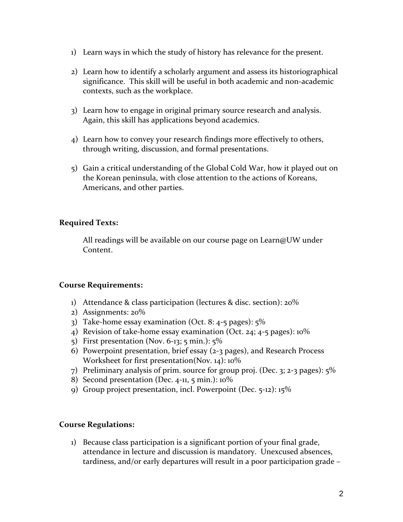- 1) Learn ways in which the study of history has relevance for the present.
- 2) Learn how to identify a scholarly argument and assess its historiographical significance. This skill will be useful in both academic and non-academic contexts, such as the workplace.
- 3) Learn how to engage in original primary source research and analysis. Again, this skill has applications beyond academics.
- 4) Learn how to convey your research findings more effectively to others, through writing, discussion, and formal presentations.
- 5) Gain a critical understanding of the Global Cold War, how it played out on the Korean peninsula, with close attention to the actions of Koreans, Americans, and other parties.

# **Required Texts:**

All readings will be available on our course page on Learn@UW under Content.

# **Course Requirements:**

- 1) Attendance & class participation (lectures & disc. section): 20%
- 2) Assignments: 20%
- 3) Take-home essay examination (Oct. 8:  $4-5$  pages):  $5\%$
- 4) Revision of take-home essay examination (Oct. 24; 4-5 pages):  $10\%$
- 5) First presentation (Nov. 6‐13; 5 min.): 5%
- 6) Powerpoint presentation, brief essay (2‐3 pages), and Research Process Worksheet for first presentation(Nov. 14): 10%
- 7) Preliminary analysis of prim. source for group proj. (Dec. 3; 2‐3 pages): 5%
- 8) Second presentation (Dec. 4-11, 5 min.): 10%
- 9) Group project presentation, incl. Powerpoint (Dec. 5‐12): 15%

# **Course Regulations:**

1) Because class participation is a significant portion of your final grade, attendance in lecture and discussion is mandatory. Unexcused absences, tardiness, and/or early departures will result in a poor participation grade –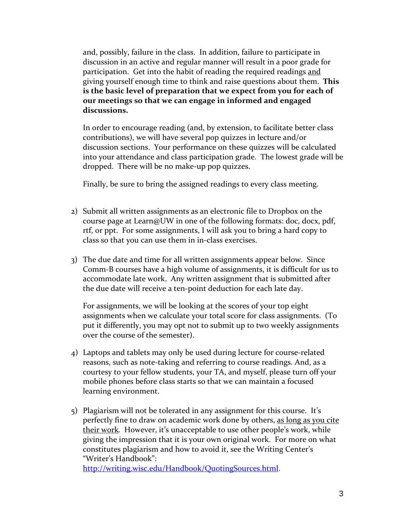and, possibly, failure in the class. In addition, failure to participate in discussion in an active and regular manner will result in a poor grade for participation. Get into the habit of reading the required readings and giving yourself enough time to think and raise questions about them. **This is the basic level of preparation that we expect from you for each of our meetings so that we can engage in informed and engaged discussions.** 

In order to encourage reading (and, by extension, to facilitate better class contributions), we will have several pop quizzes in lecture and/or discussion sections. Your performance on these quizzes will be calculated into your attendance and class participation grade. The lowest grade will be dropped. There will be no make‐up pop quizzes.

Finally, be sure to bring the assigned readings to every class meeting.

- 2) Submit all written assignments as an electronic file to Dropbox on the course page at Learn@UW in one of the following formats: doc, docx, pdf, rtf, or ppt. For some assignments, I will ask you to bring a hard copy to class so that you can use them in in‐class exercises.
- 3) The due date and time for all written assignments appear below. Since Comm‐B courses have a high volume of assignments, it is difficult for us to accommodate late work. Any written assignment that is submitted after the due date will receive a ten‐point deduction for each late day.

For assignments, we will be looking at the scores of your top eight assignments when we calculate your total score for class assignments. (To put it differently, you may opt not to submit up to two weekly assignments over the course of the semester).

- 4) Laptops and tablets may only be used during lecture for course‐related reasons, such as note-taking and referring to course readings. And, as a courtesy to your fellow students, your TA, and myself, please turn off your mobile phones before class starts so that we can maintain a focused learning environment.
- 5) Plagiarism will not be tolerated in any assignment for this course. It's perfectly fine to draw on academic work done by others, as long as you cite their work. However, it's unacceptable to use other people's work, while giving the impression that it is your own original work. For more on what constitutes plagiarism and how to avoid it, see the Writing Center's "Writer's Handbook":

http://writing.wisc.edu/Handbook/QuotingSources.html.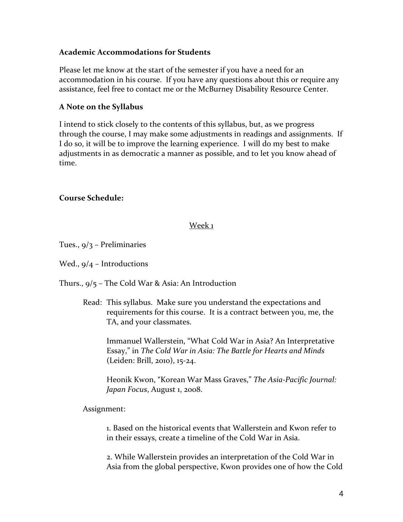## **Academic Accommodations for Students**

Please let me know at the start of the semester if you have a need for an accommodation in his course. If you have any questions about this or require any assistance, feel free to contact me or the McBurney Disability Resource Center.

# **A Note on the Syllabus**

I intend to stick closely to the contents of this syllabus, but, as we progress through the course, I may make some adjustments in readings and assignments. If I do so, it will be to improve the learning experience. I will do my best to make adjustments in as democratic a manner as possible, and to let you know ahead of time.

# **Course Schedule:**

## Week 1

Tues., 9/3 – Preliminaries

Wed., 9/4 – Introductions

Thurs., 9/5 – The Cold War & Asia: An Introduction

Read: This syllabus. Make sure you understand the expectations and requirements for this course. It is a contract between you, me, the TA, and your classmates.

Immanuel Wallerstein, "What Cold War in Asia? An Interpretative Essay," in *The Cold War in Asia: The Battle for Hearts and Minds* (Leiden: Brill, 2010), 15‐24.

Heonik Kwon, "Korean War Mass Graves," *The Asia‐Pacific Journal: Japan Focus*, August 1, 2008.

Assignment:

1. Based on the historical events that Wallerstein and Kwon refer to in their essays, create a timeline of the Cold War in Asia.

2. While Wallerstein provides an interpretation of the Cold War in Asia from the global perspective, Kwon provides one of how the Cold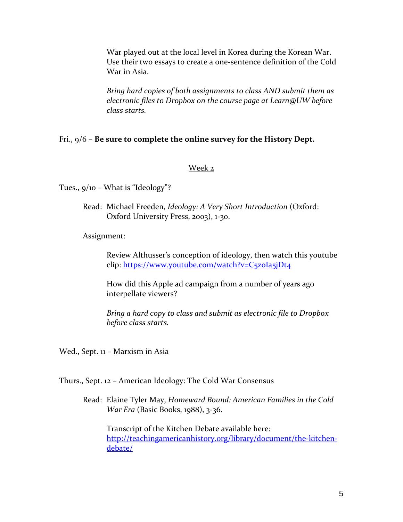War played out at the local level in Korea during the Korean War. Use their two essays to create a one‐sentence definition of the Cold War in Asia.

*Bring hard copies of both assignments to class AND submit them as electronic files to Dropbox on the course page at Learn@UW before class starts.*

## Fri., 9/6 – **Be sure to complete the online survey for the History Dept.**

## Week 2

Tues., 9/10 – What is "Ideology"?

Read: Michael Freeden, *Ideology: A Very Short Introduction* (Oxford: Oxford University Press, 2003), 1‐3o.

Assignment:

Review Althusser's conception of ideology, then watch this youtube clip: https://www.youtube.com/watch?v=C5z0Ia5jDt4

How did this Apple ad campaign from a number of years ago interpellate viewers?

*Bring a hard copy to class and submit as electronic file to Dropbox before class starts.*

Wed., Sept. 11 – Marxism in Asia

Thurs., Sept. 12 – American Ideology: The Cold War Consensus

Read: Elaine Tyler May, *Homeward Bound: American Families in the Cold War Era* (Basic Books, 1988), 3‐36.

Transcript of the Kitchen Debate available here: http://teachingamericanhistory.org/library/document/the-kitchendebate/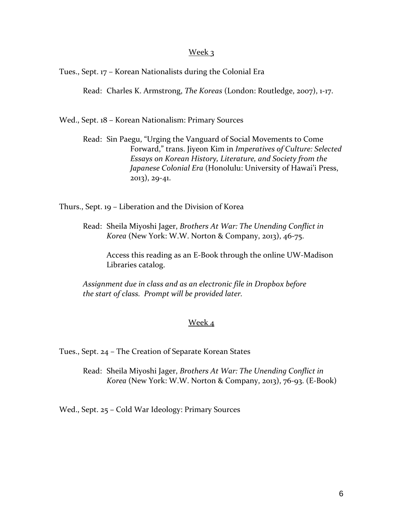### Week 3

Tues., Sept. 17 – Korean Nationalists during the Colonial Era

Read: Charles K. Armstrong, *The Koreas* (London: Routledge, 2007), 1‐17.

Wed., Sept. 18 – Korean Nationalism: Primary Sources

Read: Sin Paegu, "Urging the Vanguard of Social Movements to Come Forward," trans. Jiyeon Kim in *Imperatives of Culture: Selected Essays on Korean History, Literature, and Society from the Japanese Colonial Era* (Honolulu: University of Hawai'i Press, 2013), 29‐41.

Thurs., Sept. 19 – Liberation and the Division of Korea

Read: Sheila Miyoshi Jager, *Brothers At War: The Unending Conflict in Korea* (New York: W.W. Norton & Company, 2013), 46‐75.

Access this reading as an E‐Book through the online UW‐Madison Libraries catalog.

*Assignment due in class and as an electronic file in Dropbox before the start of class. Prompt will be provided later.*

### Week 4

Tues., Sept. 24 – The Creation of Separate Korean States

Read: Sheila Miyoshi Jager, *Brothers At War: The Unending Conflict in Korea* (New York: W.W. Norton & Company, 2013), 76‐93. (E‐Book)

Wed., Sept. 25 – Cold War Ideology: Primary Sources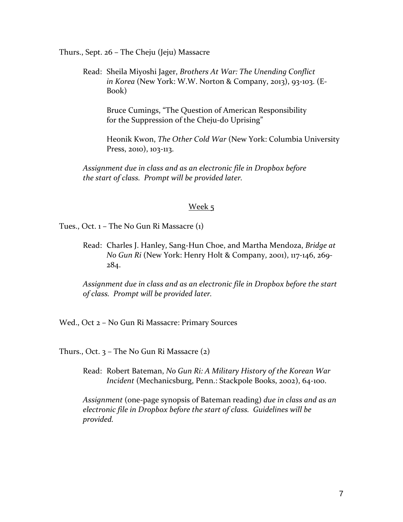Thurs., Sept. 26 – The Cheju (Jeju) Massacre

Read: Sheila Miyoshi Jager, *Brothers At War: The Unending Conflict in Korea* (New York: W.W. Norton & Company, 2013), 93‐103. (E‐ Book)

Bruce Cumings, "The Question of American Responsibility for the Suppression of the Cheju-do Uprising"

Heonik Kwon, *The Other Cold War* (New York: Columbia University Press, 2010), 103‐113.

*Assignment due in class and as an electronic file in Dropbox before the start of class. Prompt will be provided later.*

### Week 5

Tues., Oct. 1 – The No Gun Ri Massacre (1)

Read: Charles J. Hanley, Sang‐Hun Choe, and Martha Mendoza, *Bridge at No Gun Ri* (New York: Henry Holt & Company, 2001), 117‐146, 269‐ 284.

*Assignment due in class and as an electronic file in Dropbox before the start of class. Prompt will be provided later.*

Wed., Oct 2 – No Gun Ri Massacre: Primary Sources

Thurs., Oct. 3 – The No Gun Ri Massacre (2)

Read: Robert Bateman, *No Gun Ri: A Military History of the Korean War Incident* (Mechanicsburg, Penn.: Stackpole Books, 2002), 64‐100.

*Assignment* (one‐page synopsis of Bateman reading) *due in class and as an electronic file in Dropbox before the start of class. Guidelines will be provided.*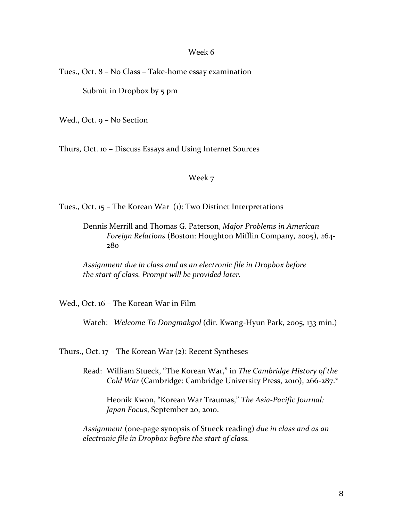#### Week 6

Tues., Oct. 8 – No Class – Take‐home essay examination

Submit in Dropbox by 5 pm

Wed., Oct. 9 – No Section

Thurs, Oct. 10 – Discuss Essays and Using Internet Sources

## Week 7

Tues., Oct. 15 – The Korean War (1): Two Distinct Interpretations

Dennis Merrill and Thomas G. Paterson, *Major Problems in American Foreign Relations* (Boston: Houghton Mifflin Company, 2005), 264‐ 280

*Assignment due in class and as an electronic file in Dropbox before the start of class. Prompt will be provided later.*

Wed., Oct. 16 – The Korean War in Film

Watch: *Welcome To Dongmakgol* (dir. Kwang‐Hyun Park, 2005, 133 min.)

Thurs., Oct. 17 – The Korean War (2): Recent Syntheses

Read: William Stueck, "The Korean War," in *The Cambridge History of the Cold War* (Cambridge: Cambridge University Press, 2010), 266‐287.\*

Heonik Kwon, "Korean War Traumas," *The Asia‐Pacific Journal: Japan Focus*, September 20, 2010.

*Assignment* (one‐page synopsis of Stueck reading) *due in class and as an electronic file in Dropbox before the start of class.*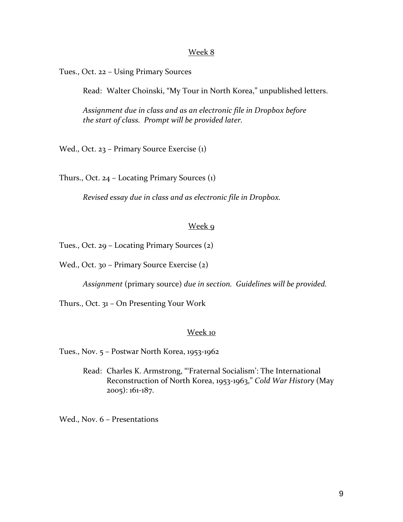#### Week 8

Tues., Oct. 22 – Using Primary Sources

Read: Walter Choinski, "My Tour in North Korea," unpublished letters.

*Assignment due in class and as an electronic file in Dropbox before the start of class. Prompt will be provided later.*

Wed., Oct. 23 – Primary Source Exercise (1)

Thurs., Oct. 24 – Locating Primary Sources (1)

*Revised essay due in class and as electronic file in Dropbox.*

### Week 9

Tues., Oct. 29 – Locating Primary Sources (2)

Wed., Oct. 30 - Primary Source Exercise (2)

*Assignment* (primary source) *due in section. Guidelines will be provided.*

Thurs., Oct. 31 – On Presenting Your Work

#### Week 10

Tues., Nov. 5 – Postwar North Korea, 1953‐1962

Read: Charles K. Armstrong, "'Fraternal Socialism': The International Reconstruction of North Korea, 1953‐1963," *Cold War History* (May 2005): 161‐187.

Wed., Nov. 6 – Presentations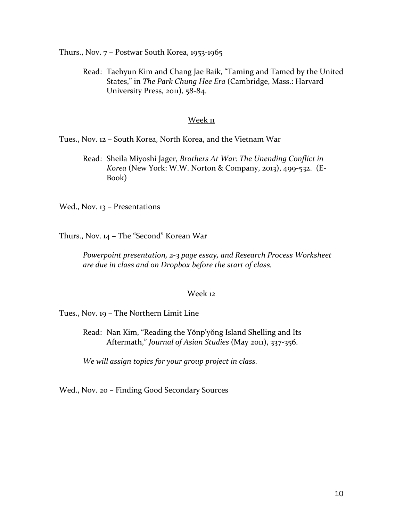Thurs., Nov. 7 – Postwar South Korea, 1953‐1965

Read: Taehyun Kim and Chang Jae Baik, "Taming and Tamed by the United States," in *The Park Chung Hee Era* (Cambridge, Mass.: Harvard University Press, 2011)*,* 58‐84.

### Week 11

Tues., Nov. 12 – South Korea, North Korea, and the Vietnam War

Read: Sheila Miyoshi Jager, *Brothers At War: The Unending Conflict in Korea* (New York: W.W. Norton & Company, 2013), 499‐532. (E‐ Book)

Wed., Nov. 13 – Presentations

Thurs., Nov. 14 – The "Second" Korean War

*Powerpoint presentation, 2‐3 page essay, and Research Process Worksheet are due in class and on Dropbox before the start of class.* 

### Week 12

Tues., Nov. 19 – The Northern Limit Line

Read: Nan Kim, "Reading the Yŏnp'yŏng Island Shelling and Its Aftermath," *Journal of Asian Studies* (May 2011), 337‐356.

*We will assign topics for your group project in class.*

Wed., Nov. 20 – Finding Good Secondary Sources